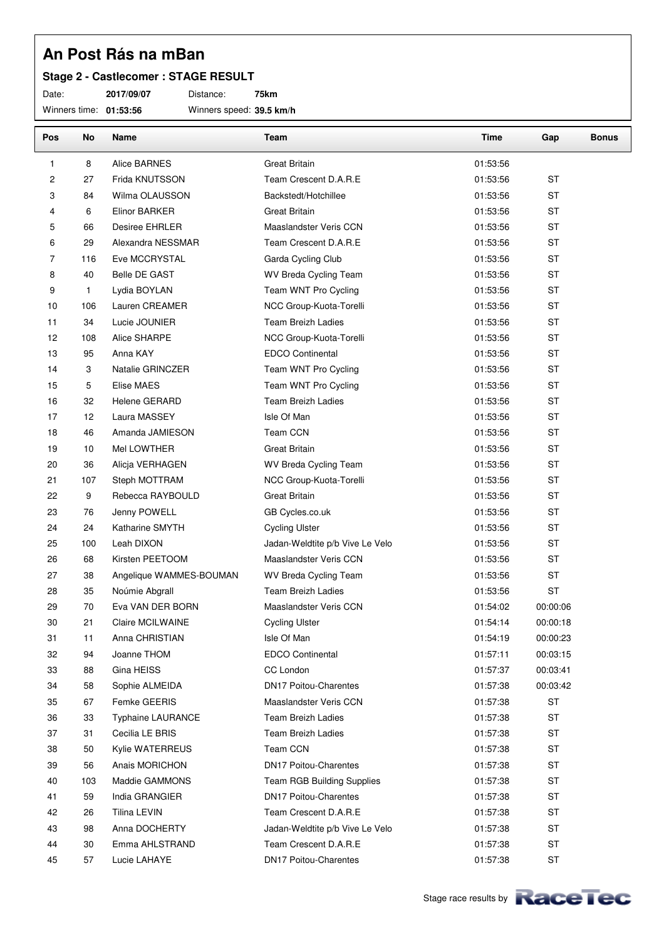#### **Stage 2 - Castlecomer : STAGE RESULT**

Date: **2017/09/07** Distance: **75km**

Winners time: **01:53:56** Winners speed: **39.5 km/h**

| Pos    | No           | Name                     | Team                              | Time     | Gap       | <b>Bonus</b> |
|--------|--------------|--------------------------|-----------------------------------|----------|-----------|--------------|
| 1      | 8            | Alice BARNES             | <b>Great Britain</b>              | 01:53:56 |           |              |
| 2      | 27           | Frida KNUTSSON           | Team Crescent D.A.R.E             | 01:53:56 | <b>ST</b> |              |
| 3      | 84           | Wilma OLAUSSON           | Backstedt/Hotchillee              | 01:53:56 | <b>ST</b> |              |
| 4      | 6            | Elinor BARKER            | <b>Great Britain</b>              | 01:53:56 | <b>ST</b> |              |
| 5      | 66           | Desiree EHRLER           | Maaslandster Veris CCN            | 01:53:56 | <b>ST</b> |              |
| 6      | 29           | Alexandra NESSMAR        | Team Crescent D.A.R.E             | 01:53:56 | <b>ST</b> |              |
| 7      | 116          | Eve MCCRYSTAL            | Garda Cycling Club                | 01:53:56 | <b>ST</b> |              |
| 8      | 40           | <b>Belle DE GAST</b>     | WV Breda Cycling Team             | 01:53:56 | <b>ST</b> |              |
| 9      | $\mathbf{1}$ | Lydia BOYLAN             | Team WNT Pro Cycling              | 01:53:56 | <b>ST</b> |              |
| 10     | 106          | Lauren CREAMER           | NCC Group-Kuota-Torelli           | 01:53:56 | <b>ST</b> |              |
| 11     | 34           | Lucie JOUNIER            | <b>Team Breizh Ladies</b>         | 01:53:56 | <b>ST</b> |              |
| 12     | 108          | Alice SHARPE             | NCC Group-Kuota-Torelli           | 01:53:56 | <b>ST</b> |              |
| 13     | 95           | Anna KAY                 | EDCO Continental                  | 01:53:56 | <b>ST</b> |              |
| 14     | 3            | Natalie GRINCZER         | Team WNT Pro Cycling              | 01:53:56 | <b>ST</b> |              |
| 15     | 5            | Elise MAES               | Team WNT Pro Cycling              | 01:53:56 | <b>ST</b> |              |
| 16     | 32           | <b>Helene GERARD</b>     | <b>Team Breizh Ladies</b>         | 01:53:56 | <b>ST</b> |              |
| 17     | 12           | Laura MASSEY             | Isle Of Man                       | 01:53:56 | <b>ST</b> |              |
| 18     | 46           | Amanda JAMIESON          | Team CCN                          | 01:53:56 | <b>ST</b> |              |
| 19     | 10           | Mel LOWTHER              | <b>Great Britain</b>              | 01:53:56 | <b>ST</b> |              |
| 20     | 36           | Alicja VERHAGEN          | WV Breda Cycling Team             | 01:53:56 | <b>ST</b> |              |
| 21     | 107          | Steph MOTTRAM            | NCC Group-Kuota-Torelli           | 01:53:56 | <b>ST</b> |              |
| 22     | 9            | Rebecca RAYBOULD         | <b>Great Britain</b>              | 01:53:56 | <b>ST</b> |              |
| 23     | 76           | Jenny POWELL             | GB Cycles.co.uk                   | 01:53:56 | <b>ST</b> |              |
| 24     | 24           | Katharine SMYTH          | <b>Cycling Ulster</b>             | 01:53:56 | <b>ST</b> |              |
| 25     | 100          | Leah DIXON               | Jadan-Weldtite p/b Vive Le Velo   | 01:53:56 | <b>ST</b> |              |
| 26     | 68           | Kirsten PEETOOM          | Maaslandster Veris CCN            | 01:53:56 | <b>ST</b> |              |
| 27     | 38           | Angelique WAMMES-BOUMAN  | WV Breda Cycling Team             | 01:53:56 | <b>ST</b> |              |
| 28     | 35           | Noúmie Abgrall           | <b>Team Breizh Ladies</b>         | 01:53:56 | <b>ST</b> |              |
| 29     | 70           | Eva VAN DER BORN         | Maaslandster Veris CCN            | 01:54:02 | 00:00:06  |              |
| $30\,$ | 21           | Claire MCILWAINE         | <b>Cycling Ulster</b>             | 01:54:14 | 00:00:18  |              |
| 31     | 11           | Anna CHRISTIAN           | Isle Of Man                       | 01:54:19 | 00:00:23  |              |
| 32     | 94           | Joanne THOM              | <b>EDCO Continental</b>           | 01:57:11 | 00:03:15  |              |
| 33     | 88           | Gina HEISS               | CC London                         | 01:57:37 | 00:03:41  |              |
| 34     | 58           | Sophie ALMEIDA           | <b>DN17 Poitou-Charentes</b>      | 01:57:38 | 00:03:42  |              |
| 35     | 67           | Femke GEERIS             | Maaslandster Veris CCN            | 01:57:38 | <b>ST</b> |              |
| 36     | 33           | <b>Typhaine LAURANCE</b> | <b>Team Breizh Ladies</b>         | 01:57:38 | <b>ST</b> |              |
| 37     | 31           | Cecilia LE BRIS          | <b>Team Breizh Ladies</b>         | 01:57:38 | <b>ST</b> |              |
| 38     | 50           | Kylie WATERREUS          | Team CCN                          | 01:57:38 | <b>ST</b> |              |
| 39     | 56           | Anais MORICHON           | <b>DN17 Poitou-Charentes</b>      | 01:57:38 | <b>ST</b> |              |
| 40     | 103          | Maddie GAMMONS           | <b>Team RGB Building Supplies</b> | 01:57:38 | <b>ST</b> |              |
| 41     | 59           | India GRANGIER           | <b>DN17 Poitou-Charentes</b>      | 01:57:38 | ST        |              |
| 42     | 26           | Tilina LEVIN             | Team Crescent D.A.R.E             | 01:57:38 | <b>ST</b> |              |
| 43     | 98           | Anna DOCHERTY            | Jadan-Weldtite p/b Vive Le Velo   | 01:57:38 | <b>ST</b> |              |
| 44     | 30           | Emma AHLSTRAND           | Team Crescent D.A.R.E             | 01:57:38 | <b>ST</b> |              |
| 45     | 57           | Lucie LAHAYE             | <b>DN17 Poitou-Charentes</b>      | 01:57:38 | <b>ST</b> |              |
|        |              |                          |                                   |          |           |              |

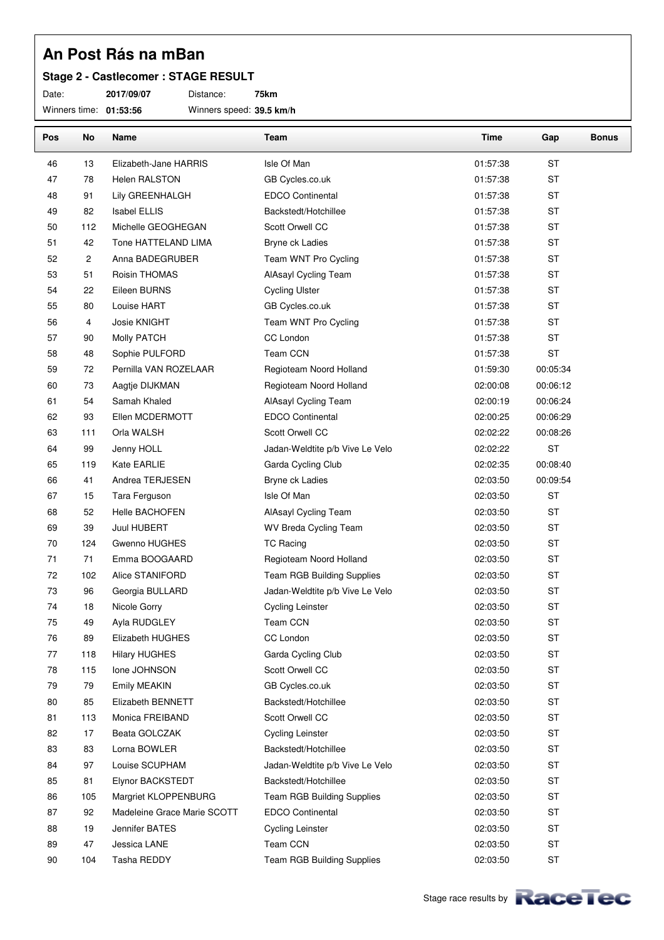#### **Stage 2 - Castlecomer : STAGE RESULT**

Date: **2017/09/07** Distance: **75km** Winners time: **01:53:56** Winners speed: **39.5 km/h**

| Pos | No  | Name                        | Team                            | Time     | Gap       | <b>Bonus</b> |
|-----|-----|-----------------------------|---------------------------------|----------|-----------|--------------|
| 46  | 13  | Elizabeth-Jane HARRIS       | Isle Of Man                     | 01:57:38 | ST        |              |
| 47  | 78  | <b>Helen RALSTON</b>        | GB Cycles.co.uk                 | 01:57:38 | <b>ST</b> |              |
| 48  | 91  | Lily GREENHALGH             | <b>EDCO Continental</b>         | 01:57:38 | <b>ST</b> |              |
| 49  | 82  | <b>Isabel ELLIS</b>         | Backstedt/Hotchillee            | 01:57:38 | <b>ST</b> |              |
| 50  | 112 | Michelle GEOGHEGAN          | Scott Orwell CC                 | 01:57:38 | ST        |              |
| 51  | 42  | Tone HATTELAND LIMA         | Bryne ck Ladies                 | 01:57:38 | <b>ST</b> |              |
| 52  | 2   | Anna BADEGRUBER             | Team WNT Pro Cycling            | 01:57:38 | ST        |              |
| 53  | 51  | Roisin THOMAS               | AlAsayl Cycling Team            | 01:57:38 | <b>ST</b> |              |
| 54  | 22  | Eileen BURNS                | <b>Cycling Ulster</b>           | 01:57:38 | ST        |              |
| 55  | 80  | Louise HART                 | GB Cycles.co.uk                 | 01:57:38 | ST        |              |
| 56  | 4   | Josie KNIGHT                | Team WNT Pro Cycling            | 01:57:38 | <b>ST</b> |              |
| 57  | 90  | Molly PATCH                 | CC London                       | 01:57:38 | ST        |              |
| 58  | 48  | Sophie PULFORD              | Team CCN                        | 01:57:38 | <b>ST</b> |              |
| 59  | 72  | Pernilla VAN ROZELAAR       | Regioteam Noord Holland         | 01:59:30 | 00:05:34  |              |
| 60  | 73  | Aagtje DIJKMAN              | Regioteam Noord Holland         | 02:00:08 | 00:06:12  |              |
| 61  | 54  | Samah Khaled                | AlAsayl Cycling Team            | 02:00:19 | 00:06:24  |              |
| 62  | 93  | Ellen MCDERMOTT             | <b>EDCO Continental</b>         | 02:00:25 | 00:06:29  |              |
| 63  | 111 | Orla WALSH                  | Scott Orwell CC                 | 02:02:22 | 00:08:26  |              |
| 64  | 99  | Jenny HOLL                  | Jadan-Weldtite p/b Vive Le Velo | 02:02:22 | <b>ST</b> |              |
| 65  | 119 | Kate EARLIE                 | Garda Cycling Club              | 02:02:35 | 00:08:40  |              |
| 66  | 41  | Andrea TERJESEN             | Bryne ck Ladies                 | 02:03:50 | 00:09:54  |              |
| 67  | 15  | Tara Ferguson               | Isle Of Man                     | 02:03:50 | ST        |              |
| 68  | 52  | Helle BACHOFEN              | AlAsayl Cycling Team            | 02:03:50 | ST        |              |
| 69  | 39  | Juul HUBERT                 | WV Breda Cycling Team           | 02:03:50 | <b>ST</b> |              |
| 70  | 124 | Gwenno HUGHES               | <b>TC Racing</b>                | 02:03:50 | ST        |              |
| 71  | 71  | Emma BOOGAARD               | Regioteam Noord Holland         | 02:03:50 | <b>ST</b> |              |
| 72  | 102 | Alice STANIFORD             | Team RGB Building Supplies      | 02:03:50 | ST        |              |
| 73  | 96  | Georgia BULLARD             | Jadan-Weldtite p/b Vive Le Velo | 02:03:50 | <b>ST</b> |              |
| 74  | 18  | Nicole Gorry                | <b>Cycling Leinster</b>         | 02:03:50 | <b>ST</b> |              |
| 75  | 49  | Ayla RUDGLEY                | Team CCN                        | 02:03:50 | <b>ST</b> |              |
| 76  | 89  | Elizabeth HUGHES            | CC London                       | 02:03:50 | ST        |              |
| 77  | 118 | <b>Hilary HUGHES</b>        | Garda Cycling Club              | 02:03:50 | ST        |              |
| 78  | 115 | Ione JOHNSON                | Scott Orwell CC                 | 02:03:50 | ST        |              |
| 79  | 79  | Emily MEAKIN                | GB Cycles.co.uk                 | 02:03:50 | ST        |              |
| 80  | 85  | Elizabeth BENNETT           | Backstedt/Hotchillee            | 02:03:50 | ST        |              |
| 81  | 113 | Monica FREIBAND             | Scott Orwell CC                 | 02:03:50 | ST        |              |
| 82  | 17  | Beata GOLCZAK               | <b>Cycling Leinster</b>         | 02:03:50 | ST        |              |
| 83  | 83  | Lorna BOWLER                | Backstedt/Hotchillee            | 02:03:50 | ST        |              |
| 84  | 97  | Louise SCUPHAM              | Jadan-Weldtite p/b Vive Le Velo | 02:03:50 | ST        |              |
| 85  | 81  | Elynor BACKSTEDT            | Backstedt/Hotchillee            | 02:03:50 | ST        |              |
| 86  | 105 | Margriet KLOPPENBURG        | Team RGB Building Supplies      | 02:03:50 | ST        |              |
| 87  | 92  | Madeleine Grace Marie SCOTT | <b>EDCO Continental</b>         | 02:03:50 | ST        |              |
| 88  | 19  | Jennifer BATES              | <b>Cycling Leinster</b>         | 02:03:50 | ST        |              |
| 89  | 47  | Jessica LANE                | Team CCN                        | 02:03:50 | ST        |              |
| 90  | 104 | Tasha REDDY                 | Team RGB Building Supplies      | 02:03:50 | ST        |              |

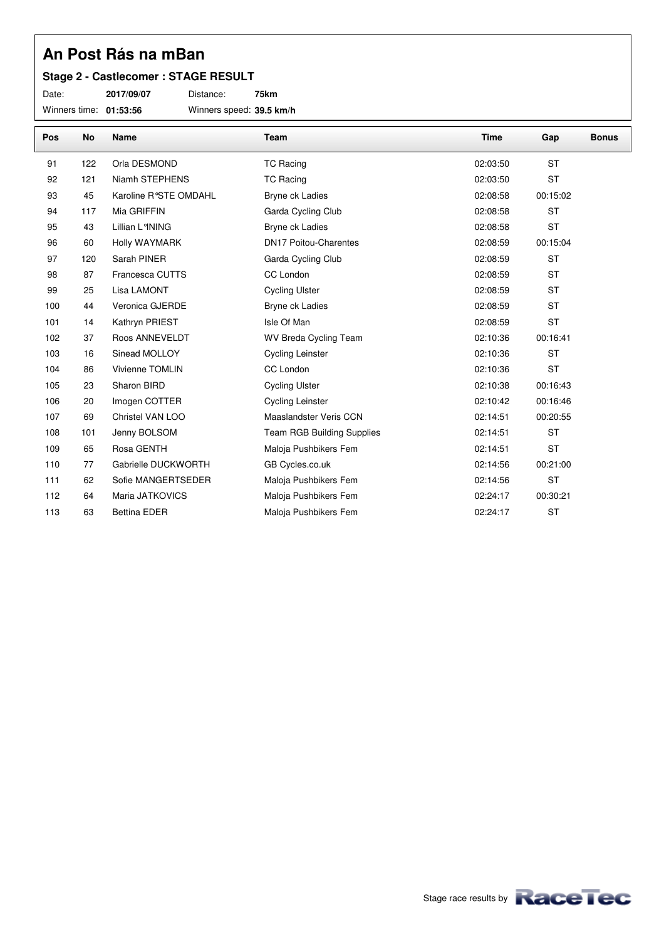#### **Stage 2 - Castlecomer : STAGE RESULT**

Date: **2017/09/07** Distance: **75km**

Winners time: **01:53:56** Winners speed: **39.5 km/h**

| Pos | No  | Name                   | Team                              | <b>Time</b> | Gap       | <b>Bonus</b> |
|-----|-----|------------------------|-----------------------------------|-------------|-----------|--------------|
| 91  | 122 | Orla DESMOND           | <b>TC Racing</b>                  | 02:03:50    | <b>ST</b> |              |
| 92  | 121 | Niamh STEPHENS         | <b>TC Racing</b>                  | 02:03:50    | <b>ST</b> |              |
| 93  | 45  | Karoline R°STE OMDAHL  | Bryne ck Ladies                   | 02:08:58    | 00:15:02  |              |
| 94  | 117 | Mia GRIFFIN            | Garda Cycling Club                | 02:08:58    | <b>ST</b> |              |
| 95  | 43  | Lillian L°INING        | Bryne ck Ladies                   | 02:08:58    | <b>ST</b> |              |
| 96  | 60  | Holly WAYMARK          | <b>DN17 Poitou-Charentes</b>      | 02:08:59    | 00:15:04  |              |
| 97  | 120 | Sarah PINER            | Garda Cycling Club                | 02:08:59    | <b>ST</b> |              |
| 98  | 87  | Francesca CUTTS        | CC London                         | 02:08:59    | <b>ST</b> |              |
| 99  | 25  | Lisa LAMONT            | <b>Cycling Ulster</b>             | 02:08:59    | <b>ST</b> |              |
| 100 | 44  | Veronica GJERDE        | Bryne ck Ladies                   | 02:08:59    | <b>ST</b> |              |
| 101 | 14  | Kathryn PRIEST         | Isle Of Man                       | 02:08:59    | <b>ST</b> |              |
| 102 | 37  | Roos ANNEVELDT         | WV Breda Cycling Team             | 02:10:36    | 00:16:41  |              |
| 103 | 16  | Sinead MOLLOY          | <b>Cycling Leinster</b>           | 02:10:36    | <b>ST</b> |              |
| 104 | 86  | <b>Vivienne TOMLIN</b> | CC London                         | 02:10:36    | <b>ST</b> |              |
| 105 | 23  | Sharon BIRD            | <b>Cycling Ulster</b>             | 02:10:38    | 00:16:43  |              |
| 106 | 20  | Imogen COTTER          | <b>Cycling Leinster</b>           | 02:10:42    | 00:16:46  |              |
| 107 | 69  | Christel VAN LOO       | Maaslandster Veris CCN            | 02:14:51    | 00:20:55  |              |
| 108 | 101 | Jenny BOLSOM           | <b>Team RGB Building Supplies</b> | 02:14:51    | <b>ST</b> |              |
| 109 | 65  | Rosa GENTH             | Maloja Pushbikers Fem             | 02:14:51    | <b>ST</b> |              |
| 110 | 77  | Gabrielle DUCKWORTH    | GB Cycles.co.uk                   | 02:14:56    | 00:21:00  |              |
| 111 | 62  | Sofie MANGERTSEDER     | Maloja Pushbikers Fem             | 02:14:56    | <b>ST</b> |              |
| 112 | 64  | Maria JATKOVICS        | Maloja Pushbikers Fem             | 02:24:17    | 00:30:21  |              |
| 113 | 63  | <b>Bettina EDER</b>    | Maloja Pushbikers Fem             | 02:24:17    | <b>ST</b> |              |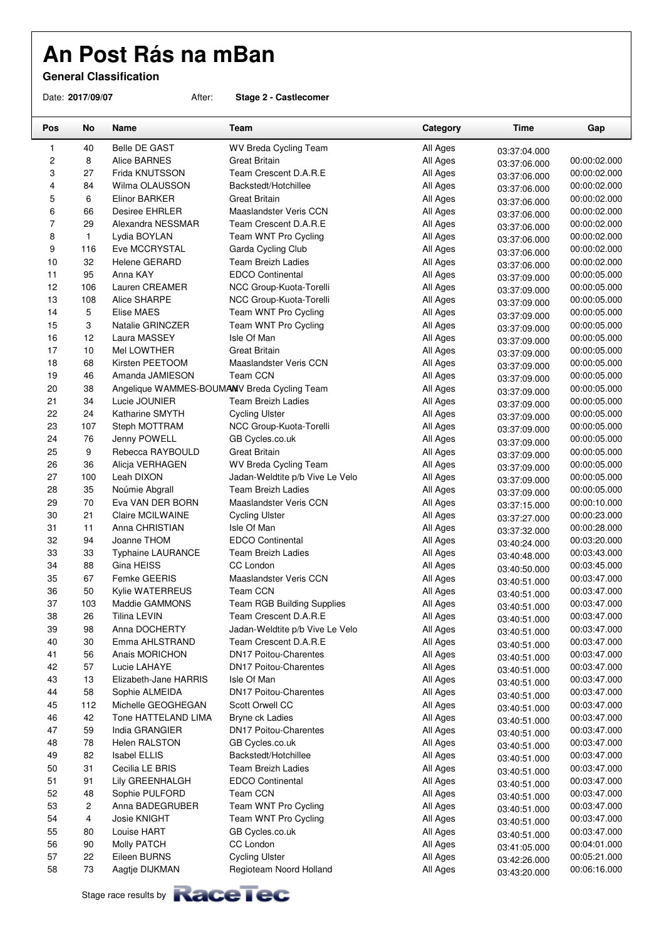**General Classification**

Date: **2017/09/07** After: **Stage 2 - Castlecomer**

| Pos              | No       | Name                                        | Team                                                 | Category             | <b>Time</b>                  | Gap                          |
|------------------|----------|---------------------------------------------|------------------------------------------------------|----------------------|------------------------------|------------------------------|
| 1                | 40       | <b>Belle DE GAST</b>                        | WV Breda Cycling Team                                | All Ages             | 03:37:04.000                 |                              |
| $\boldsymbol{2}$ | 8        | <b>Alice BARNES</b>                         | Great Britain                                        | All Ages             | 03:37:06.000                 | 00:00:02.000                 |
| 3                | 27       | Frida KNUTSSON                              | Team Crescent D.A.R.E                                | All Ages             | 03:37:06.000                 | 00:00:02.000                 |
| 4                | 84       | Wilma OLAUSSON                              | Backstedt/Hotchillee                                 | All Ages             | 03:37:06.000                 | 00:00:02.000                 |
| 5                | 6        | Elinor BARKER                               | Great Britain                                        | All Ages             | 03:37:06.000                 | 00:00:02.000                 |
| 6                | 66       | Desiree EHRLER                              | Maaslandster Veris CCN                               | All Ages             | 03:37:06.000                 | 00:00:02.000                 |
| $\overline{7}$   | 29       | Alexandra NESSMAR                           | Team Crescent D.A.R.E                                | All Ages             | 03:37:06.000                 | 00:00:02.000                 |
| 8                | 1        | Lydia BOYLAN                                | Team WNT Pro Cycling                                 | All Ages             | 03:37:06.000                 | 00:00:02.000                 |
| 9                | 116      | Eve MCCRYSTAL                               | Garda Cycling Club                                   | All Ages             | 03:37:06.000                 | 00:00:02.000                 |
| 10               | 32       | Helene GERARD                               | Team Breizh Ladies                                   | All Ages             | 03:37:06.000                 | 00:00:02.000                 |
| 11               | 95       | Anna KAY                                    | <b>EDCO Continental</b>                              | All Ages             | 03:37:09.000                 | 00:00:05.000                 |
| 12               | 106      | Lauren CREAMER                              | NCC Group-Kuota-Torelli                              | All Ages             | 03:37:09.000                 | 00:00:05.000                 |
| 13               | 108      | Alice SHARPE                                | NCC Group-Kuota-Torelli                              | All Ages             | 03:37:09.000                 | 00:00:05.000                 |
| 14               | 5        | Elise MAES                                  | Team WNT Pro Cycling                                 | All Ages             | 03:37:09.000                 | 00:00:05.000                 |
| 15               | 3        | Natalie GRINCZER                            | Team WNT Pro Cycling                                 | All Ages             | 03:37:09.000                 | 00:00:05.000                 |
| 16               | 12       | Laura MASSEY                                | Isle Of Man                                          | All Ages             | 03:37:09.000                 | 00:00:05.000                 |
| 17               | 10       | Mel LOWTHER                                 | Great Britain                                        | All Ages             | 03:37:09.000                 | 00:00:05.000                 |
| 18               | 68       | Kirsten PEETOOM                             | Maaslandster Veris CCN                               | All Ages             | 03:37:09.000                 | 00:00:05.000                 |
| 19               | 46       | Amanda JAMIESON                             | Team CCN                                             | All Ages             | 03:37:09.000                 | 00:00:05.000                 |
| 20               | 38       | Angelique WAMMES-BOUMAMV Breda Cycling Team |                                                      | All Ages             | 03:37:09.000                 | 00:00:05.000                 |
| 21               | 34       | Lucie JOUNIER                               | <b>Team Breizh Ladies</b>                            | All Ages             | 03:37:09.000                 | 00:00:05.000                 |
| 22               | 24       | Katharine SMYTH                             | <b>Cycling Ulster</b>                                | All Ages             | 03:37:09.000                 | 00:00:05.000                 |
| 23               | 107      | Steph MOTTRAM                               | NCC Group-Kuota-Torelli                              | All Ages             | 03:37:09.000                 | 00:00:05.000                 |
| 24               | 76       | Jenny POWELL                                | GB Cycles.co.uk                                      | All Ages             | 03:37:09.000                 | 00:00:05.000                 |
| 25               | 9        | Rebecca RAYBOULD                            | Great Britain                                        | All Ages             | 03:37:09.000                 | 00:00:05.000                 |
| 26               | 36       | Alicja VERHAGEN                             | WV Breda Cycling Team                                | All Ages             | 03:37:09.000                 | 00:00:05.000                 |
| 27               | 100      | Leah DIXON                                  | Jadan-Weldtite p/b Vive Le Velo                      | All Ages             | 03:37:09.000                 | 00:00:05.000                 |
| 28               | 35       | Noúmie Abgrall                              | <b>Team Breizh Ladies</b>                            | All Ages             | 03:37:09.000                 | 00:00:05.000                 |
| 29               | 70       | Eva VAN DER BORN                            | Maaslandster Veris CCN                               | All Ages             | 03:37:15.000                 | 00:00:10.000                 |
| 30               | 21       | Claire MCILWAINE                            | <b>Cycling Ulster</b>                                | All Ages             | 03:37:27.000                 | 00:00:23.000                 |
| 31               | 11       | Anna CHRISTIAN                              | Isle Of Man                                          | All Ages             | 03:37:32.000                 | 00:00:28.000                 |
| 32<br>33         | 94<br>33 | Joanne THOM                                 | <b>EDCO Continental</b><br><b>Team Breizh Ladies</b> | All Ages<br>All Ages | 03:40:24.000                 | 00:03:20.000<br>00:03:43.000 |
| 34               | 88       | <b>Typhaine LAURANCE</b><br>Gina HEISS      | CC London                                            | All Ages             | 03:40:48.000                 | 00:03:45.000                 |
| 35               | 67       | Femke GEERIS                                | Maaslandster Veris CCN                               | All Ages             | 03:40:50.000                 | 00:03:47.000                 |
| 36               | 50       | Kylie WATERREUS                             | <b>Team CCN</b>                                      | All Ages             | 03:40:51.000                 | 00:03:47.000                 |
| 37               | 103      | Maddie GAMMONS                              | <b>Team RGB Building Supplies</b>                    | All Ages             | 03:40:51.000                 | 00:03:47.000                 |
| 38               | 26       | Tilina LEVIN                                | Team Crescent D.A.R.E                                | All Ages             | 03:40:51.000                 | 00:03:47.000                 |
| 39               | 98       | Anna DOCHERTY                               | Jadan-Weldtite p/b Vive Le Velo                      | All Ages             | 03:40:51.000                 | 00:03:47.000                 |
| 40               | 30       | Emma AHLSTRAND                              | Team Crescent D.A.R.E                                | All Ages             | 03:40:51.000                 | 00:03:47.000                 |
| 41               | 56       | Anais MORICHON                              | <b>DN17 Poitou-Charentes</b>                         | All Ages             | 03:40:51.000                 | 00:03:47.000                 |
| 42               | 57       | Lucie LAHAYE                                | <b>DN17 Poitou-Charentes</b>                         | All Ages             | 03:40:51.000                 | 00:03:47.000                 |
| 43               | 13       | Elizabeth-Jane HARRIS                       | Isle Of Man                                          | All Ages             | 03:40:51.000                 | 00:03:47.000                 |
| 44               | 58       | Sophie ALMEIDA                              | <b>DN17 Poitou-Charentes</b>                         | All Ages             | 03:40:51.000                 | 00:03:47.000                 |
| 45               | 112      | Michelle GEOGHEGAN                          | Scott Orwell CC                                      | All Ages             | 03:40:51.000                 | 00:03:47.000                 |
| 46               | 42       | Tone HATTELAND LIMA                         | Bryne ck Ladies                                      | All Ages             | 03:40:51.000                 | 00:03:47.000                 |
| 47               | 59       | India GRANGIER                              | <b>DN17 Poitou-Charentes</b>                         | All Ages             | 03:40:51.000<br>03:40:51.000 | 00:03:47.000                 |
| 48               | 78       | <b>Helen RALSTON</b>                        | GB Cycles.co.uk                                      | All Ages             |                              | 00:03:47.000                 |
| 49               | 82       | <b>Isabel ELLIS</b>                         | Backstedt/Hotchillee                                 | All Ages             | 03:40:51.000<br>03:40:51.000 | 00:03:47.000                 |
| 50               | 31       | Cecilia LE BRIS                             | Team Breizh Ladies                                   | All Ages             | 03:40:51.000                 | 00:03:47.000                 |
| 51               | 91       | Lily GREENHALGH                             | EDCO Continental                                     | All Ages             | 03:40:51.000                 | 00:03:47.000                 |
| 52               | 48       | Sophie PULFORD                              | Team CCN                                             | All Ages             | 03:40:51.000                 | 00:03:47.000                 |
| 53               | 2        | Anna BADEGRUBER                             | Team WNT Pro Cycling                                 | All Ages             | 03:40:51.000                 | 00:03:47.000                 |
| 54               | 4        | Josie KNIGHT                                | Team WNT Pro Cycling                                 | All Ages             | 03:40:51.000                 | 00:03:47.000                 |
| 55               | 80       | Louise HART                                 | GB Cycles.co.uk                                      | All Ages             | 03:40:51.000                 | 00:03:47.000                 |
| 56               | 90       | Molly PATCH                                 | CC London                                            | All Ages             | 03:41:05.000                 | 00:04:01.000                 |
| 57               | 22       | Eileen BURNS                                | <b>Cycling Ulster</b>                                | All Ages             | 03:42:26.000                 | 00:05:21.000                 |
| 58               | 73       | Aagtje DIJKMAN                              | Regioteam Noord Holland                              | All Ages             | 03:43:20.000                 | 00:06:16.000                 |

Stage race results by **Race Tec**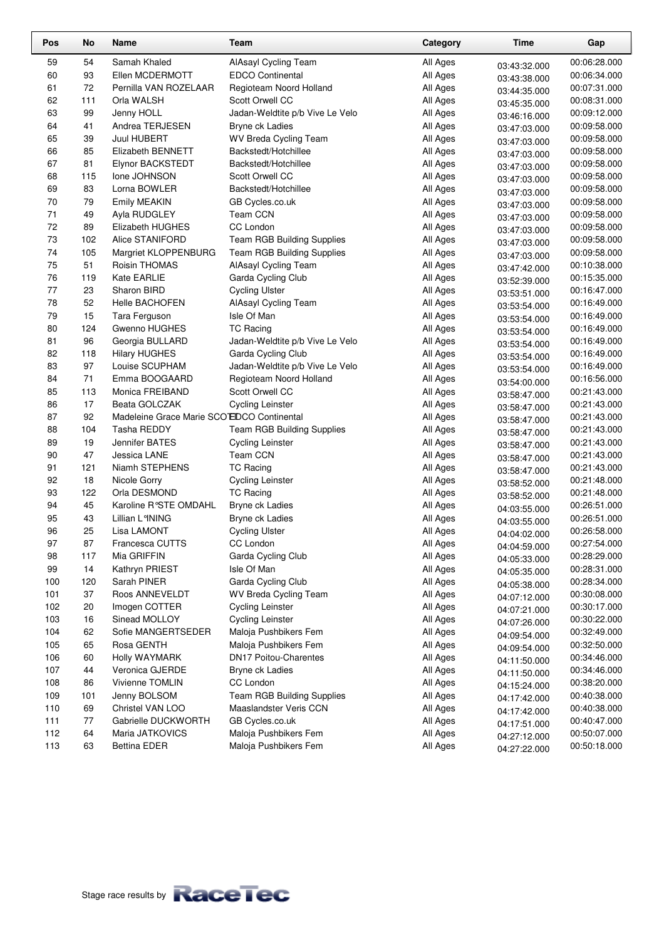| Pos | No  | Name                                       | Team                              | Category | <b>Time</b>                  | Gap          |
|-----|-----|--------------------------------------------|-----------------------------------|----------|------------------------------|--------------|
| 59  | 54  | Samah Khaled                               | AlAsayl Cycling Team              | All Ages | 03:43:32.000                 | 00:06:28.000 |
| 60  | 93  | Ellen MCDERMOTT                            | <b>EDCO Continental</b>           | All Ages | 03:43:38.000                 | 00:06:34.000 |
| 61  | 72  | Pernilla VAN ROZELAAR                      | Regioteam Noord Holland           | All Ages | 03:44:35.000                 | 00:07:31.000 |
| 62  | 111 | Orla WALSH                                 | Scott Orwell CC                   | All Ages | 03:45:35.000                 | 00:08:31.000 |
| 63  | 99  | Jenny HOLL                                 | Jadan-Weldtite p/b Vive Le Velo   | All Ages | 03:46:16.000                 | 00:09:12.000 |
| 64  | 41  | Andrea TERJESEN                            | Bryne ck Ladies                   | All Ages | 03:47:03.000                 | 00:09:58.000 |
| 65  | 39  | Juul HUBERT                                | WV Breda Cycling Team             | All Ages | 03:47:03.000                 | 00:09:58.000 |
| 66  | 85  | Elizabeth BENNETT                          | Backstedt/Hotchillee              | All Ages |                              | 00:09:58.000 |
| 67  | 81  | Elynor BACKSTEDT                           | Backstedt/Hotchillee              | All Ages | 03:47:03.000                 | 00:09:58.000 |
| 68  | 115 | Ione JOHNSON                               | Scott Orwell CC                   | All Ages | 03:47:03.000                 | 00:09:58.000 |
| 69  | 83  | Lorna BOWLER                               | Backstedt/Hotchillee              | All Ages | 03:47:03.000<br>03:47:03.000 | 00:09:58.000 |
| 70  | 79  | <b>Emily MEAKIN</b>                        | GB Cycles.co.uk                   | All Ages |                              | 00:09:58.000 |
| 71  | 49  | Ayla RUDGLEY                               | Team CCN                          | All Ages | 03:47:03.000                 | 00:09:58.000 |
| 72  | 89  | Elizabeth HUGHES                           | CC London                         | All Ages | 03:47:03.000                 | 00:09:58.000 |
| 73  | 102 | Alice STANIFORD                            | <b>Team RGB Building Supplies</b> | All Ages | 03:47:03.000                 | 00:09:58.000 |
| 74  | 105 | Margriet KLOPPENBURG                       | <b>Team RGB Building Supplies</b> | All Ages | 03:47:03.000                 | 00:09:58.000 |
| 75  | 51  | Roisin THOMAS                              | AlAsayl Cycling Team              | All Ages | 03:47:03.000                 | 00:10:38.000 |
| 76  | 119 | Kate EARLIE                                | Garda Cycling Club                | All Ages | 03:47:42.000                 | 00:15:35.000 |
| 77  | 23  | Sharon BIRD                                | <b>Cycling Ulster</b>             | All Ages | 03:52:39.000                 | 00:16:47.000 |
| 78  | 52  | Helle BACHOFEN                             | AlAsayl Cycling Team              | All Ages | 03:53:51.000                 | 00:16:49.000 |
| 79  | 15  | Tara Ferguson                              | Isle Of Man                       | All Ages | 03:53:54.000                 | 00:16:49.000 |
| 80  | 124 | Gwenno HUGHES                              | <b>TC Racing</b>                  | All Ages | 03:53:54.000                 | 00:16:49.000 |
| 81  | 96  | Georgia BULLARD                            | Jadan-Weldtite p/b Vive Le Velo   | All Ages | 03:53:54.000                 | 00:16:49.000 |
| 82  | 118 | <b>Hilary HUGHES</b>                       | Garda Cycling Club                | All Ages | 03:53:54.000<br>03:53:54.000 | 00:16:49.000 |
| 83  | 97  | Louise SCUPHAM                             | Jadan-Weldtite p/b Vive Le Velo   | All Ages |                              | 00:16:49.000 |
| 84  | 71  | Emma BOOGAARD                              | Regioteam Noord Holland           | All Ages | 03:53:54.000                 | 00:16:56.000 |
| 85  | 113 | Monica FREIBAND                            | Scott Orwell CC                   | All Ages | 03:54:00.000<br>03:58:47.000 | 00:21:43.000 |
| 86  | 17  | Beata GOLCZAK                              | <b>Cycling Leinster</b>           | All Ages | 03:58:47.000                 | 00:21:43.000 |
| 87  | 92  | Madeleine Grace Marie SCO EDCO Continental |                                   | All Ages | 03:58:47.000                 | 00:21:43.000 |
| 88  | 104 | Tasha REDDY                                | <b>Team RGB Building Supplies</b> | All Ages | 03:58:47.000                 | 00:21:43.000 |
| 89  | 19  | Jennifer BATES                             | <b>Cycling Leinster</b>           | All Ages | 03:58:47.000                 | 00:21:43.000 |
| 90  | 47  | Jessica LANE                               | Team CCN                          | All Ages | 03:58:47.000                 | 00:21:43.000 |
| 91  | 121 | Niamh STEPHENS                             | <b>TC Racing</b>                  | All Ages | 03:58:47.000                 | 00:21:43.000 |
| 92  | 18  | Nicole Gorry                               | <b>Cycling Leinster</b>           | All Ages | 03:58:52.000                 | 00:21:48.000 |
| 93  | 122 | Orla DESMOND                               | <b>TC Racing</b>                  | All Ages | 03:58:52.000                 | 00:21:48.000 |
| 94  | 45  | Karoline R°STE OMDAHL                      | Bryne ck Ladies                   | All Ages | 04:03:55.000                 | 00:26:51.000 |
| 95  | 43  | Lillian L°INING                            | Bryne ck Ladies                   | All Ages | 04:03:55.000                 | 00:26:51.000 |
| 96  | 25  | Lisa LAMONT                                | <b>Cycling Ulster</b>             | All Ages | 04:04:02.000                 | 00:26:58.000 |
| 97  | 87  | Francesca CUTTS                            | CC London                         | All Ages | 04:04:59.000                 | 00:27:54.000 |
| 98  | 117 | Mia GRIFFIN                                | Garda Cycling Club                | All Ages | 04:05:33.000                 | 00:28:29.000 |
| 99  | 14  | Kathryn PRIEST                             | Isle Of Man                       | All Ages | 04:05:35.000                 | 00:28:31.000 |
| 100 | 120 | Sarah PINER                                | Garda Cycling Club                | All Ages | 04:05:38.000                 | 00:28:34.000 |
| 101 | 37  | Roos ANNEVELDT                             | WV Breda Cycling Team             | All Ages | 04:07:12.000                 | 00:30:08.000 |
| 102 | 20  | Imogen COTTER                              | <b>Cycling Leinster</b>           | All Ages | 04:07:21.000                 | 00:30:17.000 |
| 103 | 16  | Sinead MOLLOY                              | <b>Cycling Leinster</b>           | All Ages | 04:07:26.000                 | 00:30:22.000 |
| 104 | 62  | Sofie MANGERTSEDER                         | Maloja Pushbikers Fem             | All Ages | 04:09:54.000                 | 00:32:49.000 |
| 105 | 65  | Rosa GENTH                                 | Maloja Pushbikers Fem             | All Ages | 04:09:54.000                 | 00:32:50.000 |
| 106 | 60  | Holly WAYMARK                              | <b>DN17 Poitou-Charentes</b>      | All Ages | 04:11:50.000                 | 00:34:46.000 |
| 107 | 44  | Veronica GJERDE                            | Bryne ck Ladies                   | All Ages | 04:11:50.000                 | 00:34:46.000 |
| 108 | 86  | Vivienne TOMLIN                            | CC London                         | All Ages | 04:15:24.000                 | 00:38:20.000 |
| 109 | 101 | Jenny BOLSOM                               | <b>Team RGB Building Supplies</b> | All Ages | 04:17:42.000                 | 00:40:38.000 |
| 110 | 69  | Christel VAN LOO                           | Maaslandster Veris CCN            | All Ages | 04:17:42.000                 | 00:40:38.000 |
| 111 | 77  | Gabrielle DUCKWORTH                        | GB Cycles.co.uk                   | All Ages | 04:17:51.000                 | 00:40:47.000 |
| 112 | 64  | Maria JATKOVICS                            | Maloja Pushbikers Fem             | All Ages | 04:27:12.000                 | 00:50:07.000 |
| 113 | 63  | <b>Bettina EDER</b>                        | Maloja Pushbikers Fem             | All Ages | 04:27:22.000                 | 00:50:18.000 |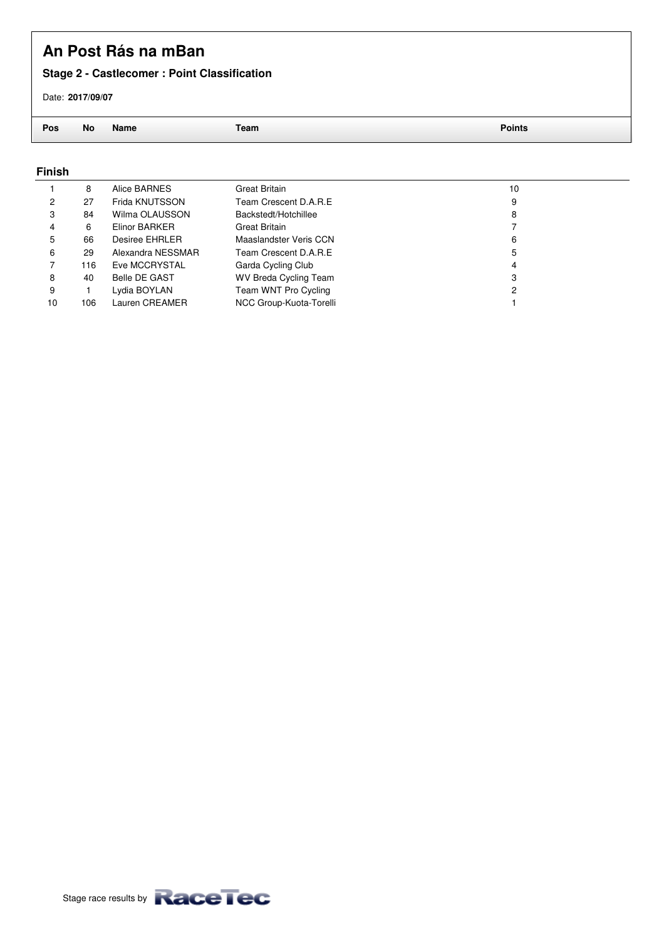### **Stage 2 - Castlecomer : Point Classification**

Date: **2017/09/07**

**Pos No Name Team Points**

#### **Finish**

|    | 8   | Alice BARNES         | Great Britain                | 10 |
|----|-----|----------------------|------------------------------|----|
| 2  | 27  | Frida KNUTSSON       | Team Crescent D.A.R.E        | 9  |
| 3  | 84  | Wilma OLAUSSON       | Backstedt/Hotchillee         | 8  |
|    | 6   | Elinor BARKER        | Great Britain                |    |
| 5  | 66  | Desiree EHRLER       | Maaslandster Veris CCN       | 6  |
| 6  | 29  | Alexandra NESSMAR    | Team Crescent D.A.R.E        | 5  |
|    | 116 | Eve MCCRYSTAL        | Garda Cycling Club           | 4  |
| 8  | 40  | <b>Belle DE GAST</b> | <b>WV Breda Cycling Team</b> | 3  |
| 9  |     | Lydia BOYLAN         | Team WNT Pro Cycling         | 2  |
| 10 | 106 | Lauren CREAMER       | NCC Group-Kuota-Torelli      |    |
|    |     |                      |                              |    |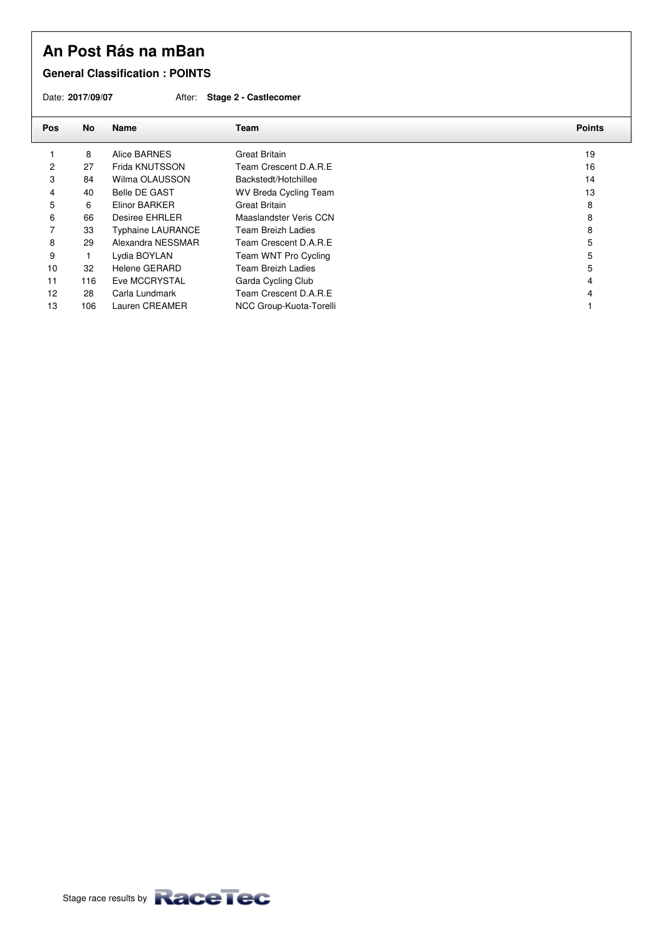#### **General Classification : POINTS**

Date: **2017/09/07** After: **Stage 2 - Castlecomer**

| Pos | No  | <b>Name</b>              | Team                         | <b>Points</b> |
|-----|-----|--------------------------|------------------------------|---------------|
|     | 8   | Alice BARNES             | <b>Great Britain</b>         | 19            |
| 2   | 27  | Frida KNUTSSON           | Team Crescent D.A.R.E.       | 16            |
| 3   | 84  | Wilma OLAUSSON           | Backstedt/Hotchillee         | 14            |
| 4   | 40  | <b>Belle DE GAST</b>     | <b>WV Breda Cycling Team</b> | 13            |
| 5   | 6   | Elinor BARKER            | <b>Great Britain</b>         | 8             |
| 6   | 66  | Desiree EHRLER           | Maaslandster Veris CCN       | 8             |
|     | 33  | <b>Typhaine LAURANCE</b> | Team Breizh Ladies           | 8             |
| 8   | 29  | Alexandra NESSMAR        | Team Crescent D.A.R.E        | 5             |
| 9   |     | Lydia BOYLAN             | Team WNT Pro Cycling         | 5             |
| 10  | 32  | Helene GERARD            | <b>Team Breizh Ladies</b>    | 5             |
| 11  | 116 | Eve MCCRYSTAL            | Garda Cycling Club           | 4             |
| 12  | 28  | Carla Lundmark           | Team Crescent D.A.R.E        |               |
| 13  | 106 | Lauren CREAMER           | NCC Group-Kuota-Torelli      |               |
|     |     |                          |                              |               |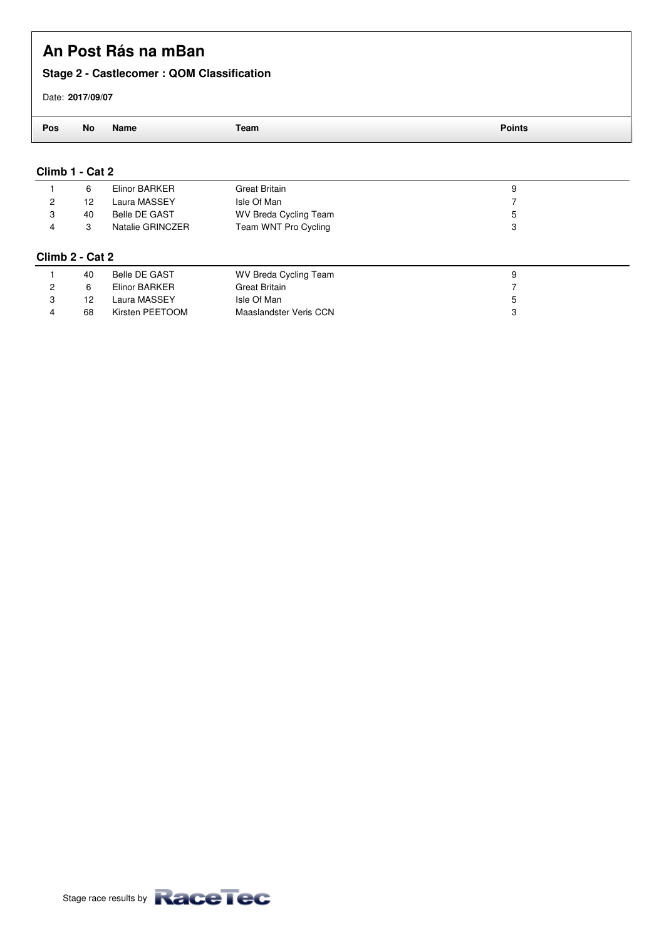### **Stage 2 - Castlecomer : QOM Classification**

#### Date: **2017/09/07**

| ___ | N0<br>$ -$ | Name<br>____ | - ------ |
|-----|------------|--------------|----------|

#### **Climb 1 - Cat 2**

|   | 6                 | Elinor BARKER        | Great Britain                | 9 |
|---|-------------------|----------------------|------------------------------|---|
| 2 | 12                | Laura MASSEY         | Isle Of Man                  |   |
| 3 | 40                | <b>Belle DE GAST</b> | <b>WV Breda Cycling Team</b> | 5 |
| 4 | 3                 | Natalie GRINCZER     | Team WNT Pro Cycling         | 3 |
|   | Climb 2 - Cat 2   |                      |                              |   |
|   | 40                | Belle DE GAST        | <b>WV Breda Cycling Team</b> | 9 |
| 2 | 6                 | Elinor BARKER        | <b>Great Britain</b>         |   |
| 3 | $12 \overline{ }$ | Laura MASSEY         | Isle Of Man                  | 5 |
| 4 | 68                | Kirsten PEETOOM      | Maaslandster Veris CCN       | 3 |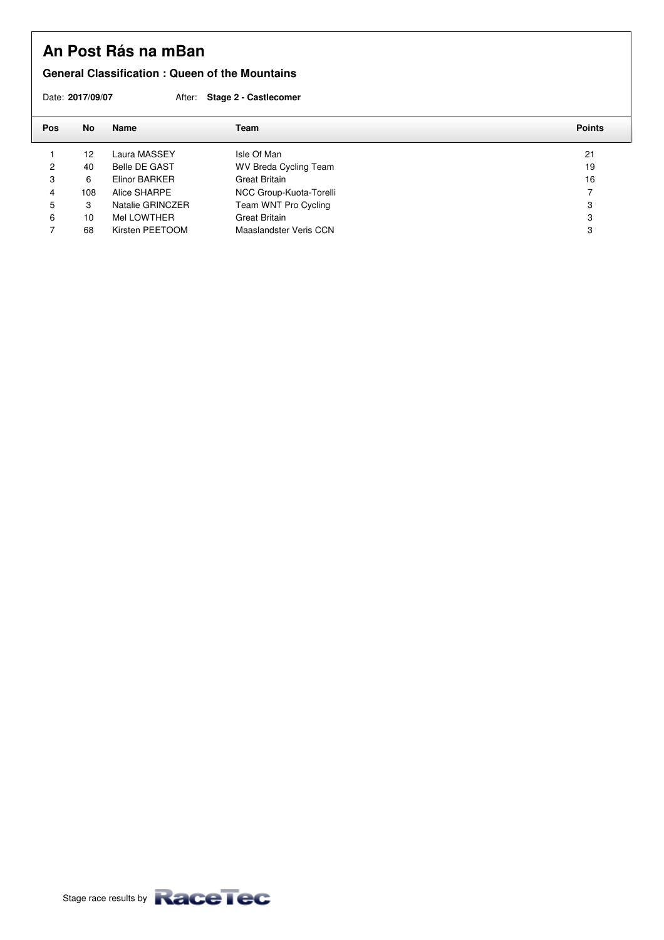#### **General Classification : Queen of the Mountains**

Date: **2017/09/07** After: **Stage 2 - Castlecomer**

| <b>Pos</b> | No                | Name                 | Team                         | <b>Points</b> |
|------------|-------------------|----------------------|------------------------------|---------------|
|            | $12 \overline{ }$ | Laura MASSEY         | Isle Of Man                  | 21            |
| 2          | 40                | <b>Belle DE GAST</b> | <b>WV Breda Cycling Team</b> | 19            |
| 3          | 6                 | Elinor BARKER        | <b>Great Britain</b>         | 16            |
| 4          | 108               | Alice SHARPE         | NCC Group-Kuota-Torelli      | 7             |
| 5          | 3                 | Natalie GRINCZER     | Team WNT Pro Cycling         | 3             |
| 6          | 10                | Mel LOWTHER          | <b>Great Britain</b>         | 3             |
|            | 68                | Kirsten PEETOOM      | Maaslandster Veris CCN       | 3             |
|            |                   |                      |                              |               |